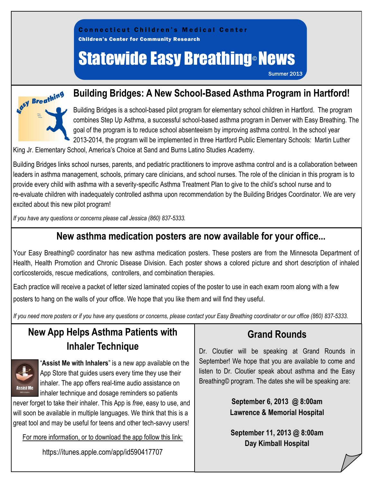

# Statewide Easy Breathing® News

Summer 2013



### **Building Bridges: A New School-Based Asthma Program in Hartford!**

Building Bridges is a school-based pilot program for elementary school children in Hartford. The program combines Step Up Asthma, a successful school-based asthma program in Denver with Easy Breathing. The goal of the program is to reduce school absenteeism by improving asthma control. In the school year 2013-2014, the program will be implemented in three Hartford Public Elementary Schools: Martin Luther

King Jr. Elementary School, America's Choice at Sand and Burns Latino Studies Academy.

Building Bridges links school nurses, parents, and pediatric practitioners to improve asthma control and is a collaboration between leaders in asthma management, schools, primary care clinicians, and school nurses. The role of the clinician in this program is to provide every child with asthma with a severity-specific Asthma Treatment Plan to give to the child's school nurse and to re-evaluate children with inadequately controlled asthma upon recommendation by the Building Bridges Coordinator. We are very excited about this new pilot program!

*If you have any questions or concerns please call Jessica (860) 837-5333.*

### **New asthma medication posters are now available for your office...**

Your Easy Breathing© coordinator has new asthma medication posters. These posters are from the Minnesota Department of Health, Health Promotion and Chronic Disease Division. Each poster shows a colored picture and short description of inhaled corticosteroids, rescue medications, controllers, and combination therapies.

Each practice will receive a packet of letter sized laminated copies of the poster to use in each exam room along with a few posters to hang on the walls of your office. We hope that you like them and will find they useful.

*If you need more posters or if you have any questions or concerns, please contact your Easy Breathing coordinator or our office (860) 837-5333.* 

## **New App Helps Asthma Patients with Inhaler Technique**



"**Assist Me with Inhalers**" is a new app available on the App Store that guides users every time they use their inhaler. The app offers real-time audio assistance on inhaler technique and dosage reminders so patients

never forget to take their inhaler. This App is *free*, easy to use, and will soon be available in multiple languages. We think that this is a great tool and may be useful for teens and other tech-savvy users!

For more information, or to download the app follow this link:

https://itunes.apple.com/app/id590417707

# **Grand Rounds**

Dr. Cloutier will be speaking at Grand Rounds in September! We hope that you are available to come and listen to Dr. Cloutier speak about asthma and the Easy Breathing© program. The dates she will be speaking are:

> **September 6, 2013 @ 8:00am Lawrence & Memorial Hospital**

> **September 11, 2013 @ 8:00am Day Kimball Hospital**